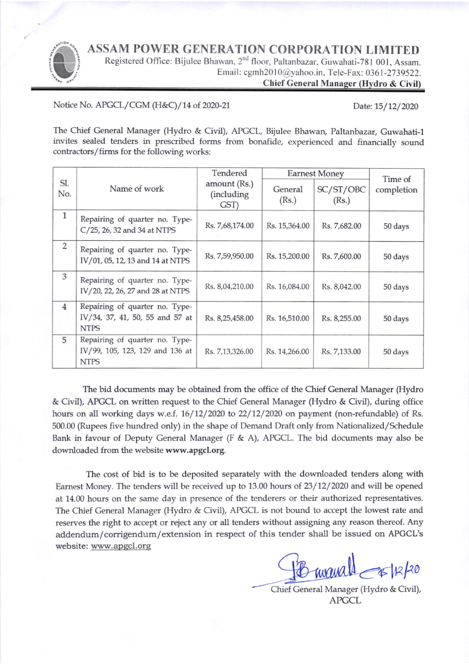ASSAM POWER GENERATION CORPORATION LIMITED



Registered Office: Bijulee Bhawan, 2<sup>nd</sup> floor, Paltanbazar, Guwahati-781 001, Assam. Email: cgmh2010@yahoo.in, Tele-Fax: 0361-2739522.

Chief General Manager (Hydro & Civil)

Notice No. APGCL/CGM (H&C)/14 of 2020-21 Date: 15/12/2020

The Chief General Manager (Hydro & Civil), APGCL, Bijulee Bhawan, Paltanbazar, Guwahati-1 invites sealed tenders in prescribed forms from bonafide, experienced and financially sound contractors/firms for the following works:

| Sl.<br>No.     | Name of work                                                                     | Tendered<br>amount (Rs.)<br>(including<br>GST) | <b>Earnest Money</b> |                    | Time of    |
|----------------|----------------------------------------------------------------------------------|------------------------------------------------|----------------------|--------------------|------------|
|                |                                                                                  |                                                | General<br>(Rs.)     | SC/ST/OBC<br>(Rs.) | completion |
| $\mathbf{1}$   | Repairing of quarter no. Type-<br>C/25, 26, 32 and 34 at NTPS                    | Rs. 7,68,174.00                                | Rs. 15,364.00        | Rs. 7,682.00       | 50 days    |
| 2              | Repairing of quarter no. Type-<br>IV/01, 05, 12, 13 and 14 at NTPS               | Rs. 7,59,950.00                                | Rs. 15,200.00        | Rs. 7,600.00       | 50 days    |
| 3              | Repairing of quarter no. Type-<br>IV/20, 22, 26, 27 and 28 at NTPS               | Rs. 8,04,210.00                                | Rs. 16,084.00        | Rs. 8,042.00       | 50 days    |
| $\overline{4}$ | Repairing of quarter no. Type-<br>IV/34, 37, 41, 50, 55 and 57 at<br><b>NTPS</b> | Rs. 8,25,458.00                                | Rs. 16,510.00        | Rs. 8,255.00       | 50 days    |
| 5              | Repairing of quarter no. Type-<br>IV/99, 105, 123, 129 and 136 at<br><b>NTPS</b> | Rs. 7,13,326.00                                | Rs. 14,266.00        | Rs. 7,133.00       | 50 days    |

The bid docunents may be obtained from the office of the Chief General Manager (Hydro & Civil), APGCL on written request to the Chief General Manager (Hydro & Civil), during office hours on all working days w.e.f.  $16/12/2020$  to  $22/12/2020$  on payment (non-refundable) of Rs. 500.00 (Rupees five hundred only) in the shape of Demand Draft only from Nationalized/Schedule Bank in favour of Deputy General Manager (F & A), APGCL. The bid documents may also be downloaded from the website www.apgcl.org.

The cost of bid is to be deposited separately with the downloaded tenders along with Earnest Money. The tenders will be received up to 13.00 hours of  $23/12/2020$  and will be opened at 14.00 hours on the same day in presence of the tenderers or their authorized representatives. The Chief General Manager (Hydro & Civil), APGCL is not bound to accept the lowest rate and reserves the right to accept or reject any or all tenders without assigning any reason thereof. Any addendum/corrigendum/extension in respect of this tender shall be issued on APGCL's website: www.apqcl.orq

 $mu$ all  $\rightarrow$ k/20

Chief General Manager (Hydro & Civil), APGCL